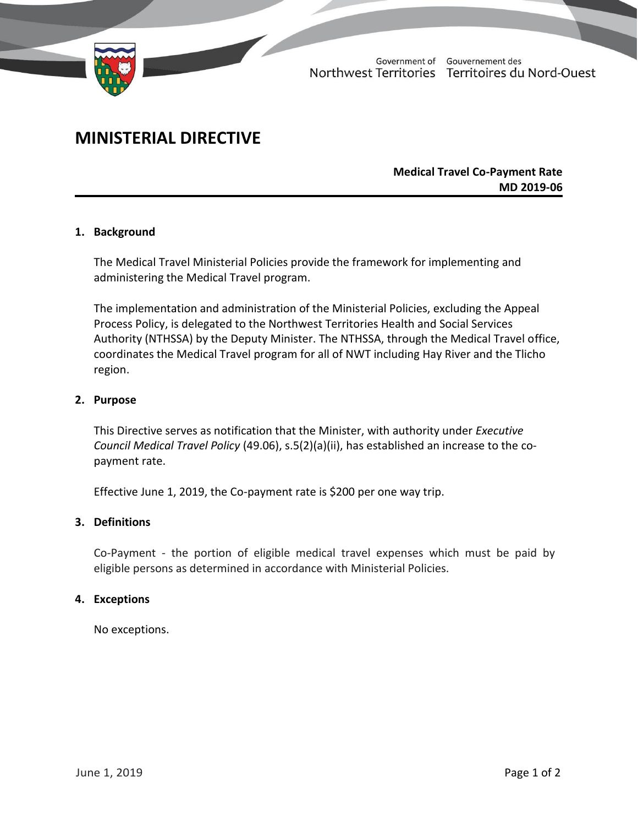

Government of Gouvernement des Northwest Territories Territoires du Nord-Ouest

# **MINISTERIAL DIRECTIVE**

## **Medical Travel Co-Payment Rate MD 2019-06**

## **1. Background**

The Medical Travel Ministerial Policies provide the framework for implementing and administering the Medical Travel program.

The implementation and administration of the Ministerial Policies, excluding the Appeal Process Policy, is delegated to the Northwest Territories Health and Social Services Authority (NTHSSA) by the Deputy Minister. The NTHSSA, through the Medical Travel office, coordinates the Medical Travel program for all of NWT including Hay River and the Tlicho region.

#### **2. Purpose**

This Directive serves as notification that the Minister, with authority under *Executive Council Medical Travel Policy* (49.06), s.5(2)(a)(ii), has established an increase to the copayment rate.

Effective June 1, 2019, the Co-payment rate is \$200 per one way trip.

## **3. Definitions**

Co-Payment - the portion of eligible medical travel expenses which must be paid by eligible persons as determined in accordance with Ministerial Policies.

#### **4. Exceptions**

No exceptions.